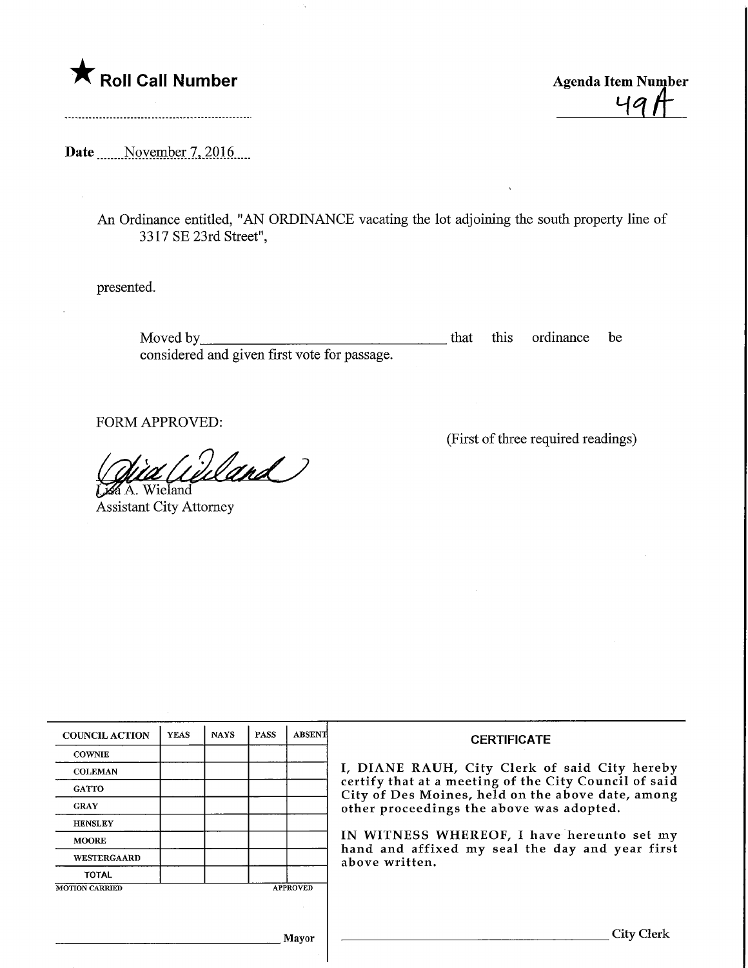

<u>491</u>

Date Movember 7, 2016

An Ordinance entitled, "AN ORDINANCE vacating the lot adjoining the south property line of 3 317 SE 23rd Street",

presented.

Moved by\_ considered and given first vote for passage. that this ordinance be

FORM APPROVED:

Wand

**Z**A. Wieland Assistant City Attorney

(First of three required readings)

| <b>COUNCIL ACTION</b> | <b>YEAS</b> | <b>NAYS</b> | <b>PASS</b> | <b>ABSENT</b>   | <b>CERTIFICATE</b>                                                                                                                                                                                                                                                                                                         |
|-----------------------|-------------|-------------|-------------|-----------------|----------------------------------------------------------------------------------------------------------------------------------------------------------------------------------------------------------------------------------------------------------------------------------------------------------------------------|
| <b>COWNIE</b>         |             |             |             |                 | I, DIANE RAUH, City Clerk of said City hereby<br>certify that at a meeting of the City Council of said<br>City of Des Moines, held on the above date, among<br>other proceedings the above was adopted.<br>IN WITNESS WHEREOF, I have hereunto set my<br>hand and affixed my seal the day and year first<br>above written. |
| <b>COLEMAN</b>        |             |             |             |                 |                                                                                                                                                                                                                                                                                                                            |
| <b>GATTO</b>          |             |             |             |                 |                                                                                                                                                                                                                                                                                                                            |
| <b>GRAY</b>           |             |             |             |                 |                                                                                                                                                                                                                                                                                                                            |
| <b>HENSLEY</b>        |             |             |             |                 |                                                                                                                                                                                                                                                                                                                            |
| <b>MOORE</b>          |             |             |             |                 |                                                                                                                                                                                                                                                                                                                            |
| <b>WESTERGAARD</b>    |             |             |             |                 |                                                                                                                                                                                                                                                                                                                            |
| <b>TOTAL</b>          |             |             |             |                 |                                                                                                                                                                                                                                                                                                                            |
| <b>MOTION CARRIED</b> |             |             |             | <b>APPROVED</b> |                                                                                                                                                                                                                                                                                                                            |
|                       |             |             |             |                 |                                                                                                                                                                                                                                                                                                                            |
|                       |             |             |             |                 |                                                                                                                                                                                                                                                                                                                            |
|                       |             |             |             | Mayor           | <b>City Clerk</b>                                                                                                                                                                                                                                                                                                          |
|                       |             |             |             |                 |                                                                                                                                                                                                                                                                                                                            |